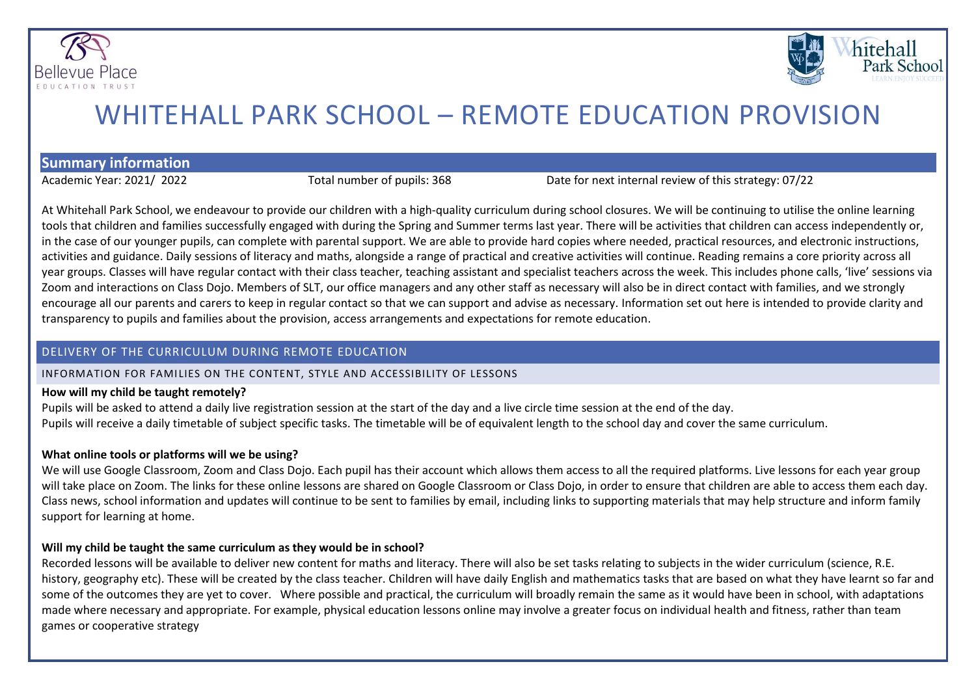



# WHITEHALL PARK SCHOOL – REMOTE EDUCATION PROVISION

**Summary information**

Academic Year: 2021/ 2022 Total number of pupils: 368 Date for next internal review of this strategy: 07/22

At Whitehall Park School, we endeavour to provide our children with a high-quality curriculum during school closures. We will be continuing to utilise the online learning tools that children and families successfully engaged with during the Spring and Summer terms last year. There will be activities that children can access independently or, in the case of our younger pupils, can complete with parental support. We are able to provide hard copies where needed, practical resources, and electronic instructions, activities and guidance. Daily sessions of literacy and maths, alongside a range of practical and creative activities will continue. Reading remains a core priority across all year groups. Classes will have regular contact with their class teacher, teaching assistant and specialist teachers across the week. This includes phone calls, 'live' sessions via Zoom and interactions on Class Dojo. Members of SLT, our office managers and any other staff as necessary will also be in direct contact with families, and we strongly encourage all our parents and carers to keep in regular contact so that we can support and advise as necessary. Information set out here is intended to provide clarity and transparency to pupils and families about the provision, access arrangements and expectations for remote education.

### DELIVERY OF THE CURRICULUM DURING REMOTE EDUCATION

### INFORMATION FOR FAMILIES ON THE CONTENT, STYLE AND ACCESSIBILITY OF LESSONS

### **How will my child be taught remotely?**

Pupils will be asked to attend a daily live registration session at the start of the day and a live circle time session at the end of the day. Pupils will receive a daily timetable of subject specific tasks. The timetable will be of equivalent length to the school day and cover the same curriculum.

### **What online tools or platforms will we be using?**

We will use Google Classroom, Zoom and Class Dojo. Each pupil has their account which allows them access to all the required platforms. Live lessons for each year group will take place on Zoom. The links for these online lessons are shared on Google Classroom or Class Dojo, in order to ensure that children are able to access them each day. Class news, school information and updates will continue to be sent to families by email, including links to supporting materials that may help structure and inform family support for learning at home.

### **Will my child be taught the same curriculum as they would be in school?**

Recorded lessons will be available to deliver new content for maths and literacy. There will also be set tasks relating to subjects in the wider curriculum (science, R.E. history, geography etc). These will be created by the class teacher. Children will have daily English and mathematics tasks that are based on what they have learnt so far and some of the outcomes they are yet to cover. Where possible and practical, the curriculum will broadly remain the same as it would have been in school, with adaptations made where necessary and appropriate. For example, physical education lessons online may involve a greater focus on individual health and fitness, rather than team games or cooperative strategy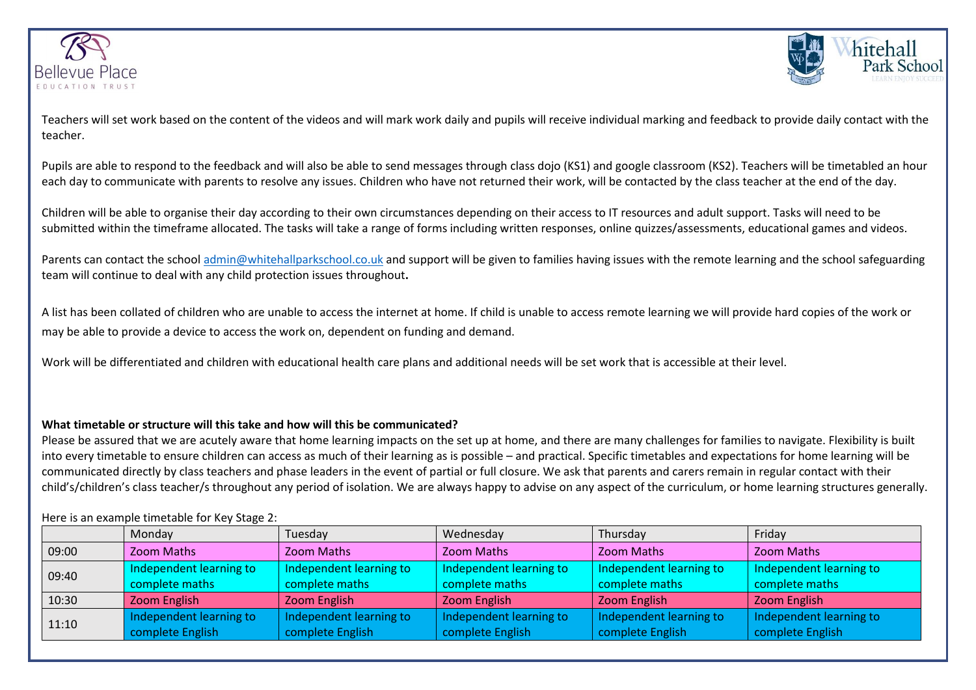



Teachers will set work based on the content of the videos and will mark work daily and pupils will receive individual marking and feedback to provide daily contact with the teacher.

Pupils are able to respond to the feedback and will also be able to send messages through class dojo (KS1) and google classroom (KS2). Teachers will be timetabled an hour each day to communicate with parents to resolve any issues. Children who have not returned their work, will be contacted by the class teacher at the end of the day.

Children will be able to organise their day according to their own circumstances depending on their access to IT resources and adult support. Tasks will need to be submitted within the timeframe allocated. The tasks will take a range of forms including written responses, online quizzes/assessments, educational games and videos.

Parents can contact the school admin@whitehallparkschool.co.uk and support will be given to families having issues with the remote learning and the school safeguarding team will continue to deal with any child protection issues throughout**.**

A list has been collated of children who are unable to access the internet at home. If child is unable to access remote learning we will provide hard copies of the work or may be able to provide a device to access the work on, dependent on funding and demand.

Work will be differentiated and children with educational health care plans and additional needs will be set work that is accessible at their level.

### **What timetable or structure will this take and how will this be communicated?**

Please be assured that we are acutely aware that home learning impacts on the set up at home, and there are many challenges for families to navigate. Flexibility is built into every timetable to ensure children can access as much of their learning as is possible – and practical. Specific timetables and expectations for home learning will be communicated directly by class teachers and phase leaders in the event of partial or full closure. We ask that parents and carers remain in regular contact with their child's/children's class teacher/s throughout any period of isolation. We are always happy to advise on any aspect of the curriculum, or home learning structures generally.

### Here is an example timetable for Key Stage 2:

|       | Monday                  | Tuesday                 | Wednesday               | Thursday                | Friday                  |
|-------|-------------------------|-------------------------|-------------------------|-------------------------|-------------------------|
| 09:00 | Zoom Maths              | Zoom Maths              | <b>Zoom Maths</b>       | Zoom Maths              | Zoom Maths              |
| 09:40 | Independent learning to | Independent learning to | Independent learning to | Independent learning to | Independent learning to |
|       | complete maths          | complete maths          | complete maths          | complete maths          | complete maths          |
| 10:30 | Zoom English            | Zoom English            | Zoom English            | Zoom English            | Zoom English            |
| 11:10 | Independent learning to | Independent learning to | Independent learning to | Independent learning to | Independent learning to |
|       | complete English        | complete English        | complete English        | complete English        | complete English        |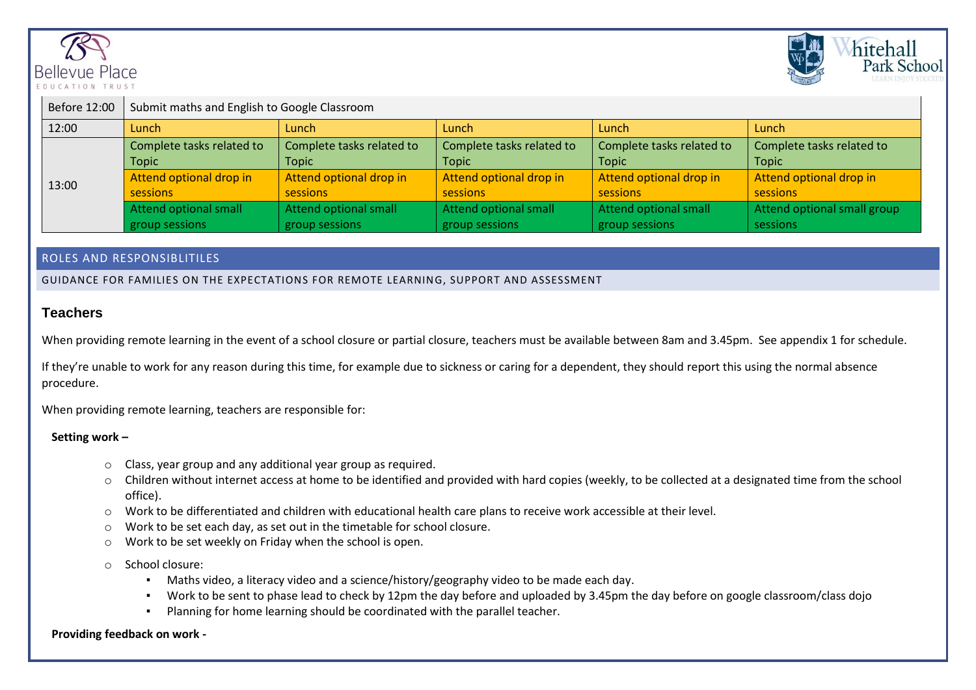



| Before 12:00 | Submit maths and English to Google Classroom |                           |                           |                           |                             |  |  |
|--------------|----------------------------------------------|---------------------------|---------------------------|---------------------------|-----------------------------|--|--|
| 12:00        | Lunch                                        | Lunch                     | Lunch                     | Lunch                     | Lunch                       |  |  |
| 13:00        | Complete tasks related to                    | Complete tasks related to | Complete tasks related to | Complete tasks related to | Complete tasks related to   |  |  |
|              | Topic                                        | <b>Topic</b>              | <b>Topic</b>              | <b>Topic</b>              | <b>Topic</b>                |  |  |
|              | Attend optional drop in                      | Attend optional drop in   | Attend optional drop in   | Attend optional drop in   | Attend optional drop in     |  |  |
|              | sessions                                     | sessions                  | sessions                  | sessions                  | sessions                    |  |  |
|              | Attend optional small                        | Attend optional small     | Attend optional small     | Attend optional small     | Attend optional small group |  |  |
|              | group sessions                               | group sessions            | group sessions            | group sessions            | sessions                    |  |  |

### ROLES AND RESPONSIBLITILES

GUIDANCE FOR FAMILIES ON THE EXPECTATIONS FOR REMOTE LEARNING, SUPPORT AND ASSESSMENT

### **Teachers**

When providing remote learning in the event of a school closure or partial closure, teachers must be available between 8am and 3.45pm. See appendix 1 for schedule.

If they're unable to work for any reason during this time, for example due to sickness or caring for a dependent, they should report this using the normal absence procedure.

When providing remote learning, teachers are responsible for:

### **Setting work –**

- o Class, year group and any additional year group as required.
- o Children without internet access at home to be identified and provided with hard copies (weekly, to be collected at a designated time from the school office).
- o Work to be differentiated and children with educational health care plans to receive work accessible at their level.
- o Work to be set each day, as set out in the timetable for school closure.
- o Work to be set weekly on Friday when the school is open.

o School closure:

- Maths video, a literacy video and a science/history/geography video to be made each day.
- Work to be sent to phase lead to check by 12pm the day before and uploaded by 3.45pm the day before on google classroom/class dojo
- Planning for home learning should be coordinated with the parallel teacher.

### **Providing feedback on work -**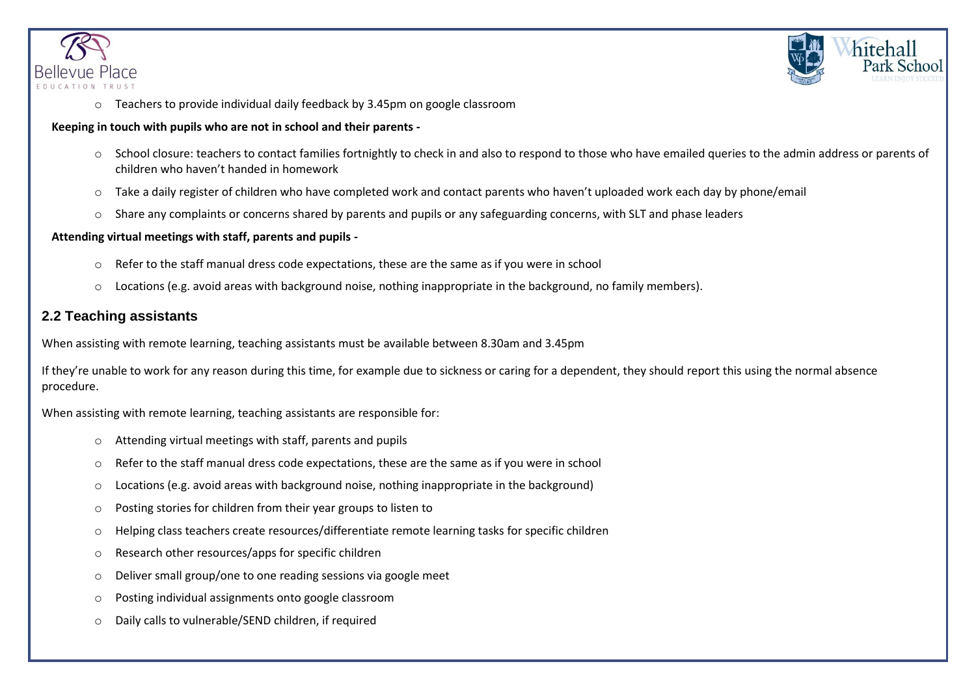



o Teachers to provide individual daily feedback by 3.45pm on google classroom

### **Keeping in touch with pupils who are not in school and their parents -**

- o School closure: teachers to contact families fortnightly to check in and also to respond to those who have emailed queries to the admin address or parents of children who haven't handed in homework
- o Take a daily register of children who have completed work and contact parents who haven't uploaded work each day by phone/email
- $\circ$  Share any complaints or concerns shared by parents and pupils or any safeguarding concerns, with SLT and phase leaders

### **Attending virtual meetings with staff, parents and pupils -**

- o Refer to the staff manual dress code expectations, these are the same as if you were in school
- o Locations (e.g. avoid areas with background noise, nothing inappropriate in the background, no family members).

### **2.2 Teaching assistants**

When assisting with remote learning, teaching assistants must be available between 8.30am and 3.45pm

If they're unable to work for any reason during this time, for example due to sickness or caring for a dependent, they should report this using the normal absence procedure.

When assisting with remote learning, teaching assistants are responsible for:

- o Attending virtual meetings with staff, parents and pupils
- $\circ$  Refer to the staff manual dress code expectations, these are the same as if you were in school
- o Locations (e.g. avoid areas with background noise, nothing inappropriate in the background)
- o Posting stories for children from their year groups to listen to
- o Helping class teachers create resources/differentiate remote learning tasks for specific children
- o Research other resources/apps for specific children
- o Deliver small group/one to one reading sessions via google meet
- o Posting individual assignments onto google classroom
- o Daily calls to vulnerable/SEND children, if required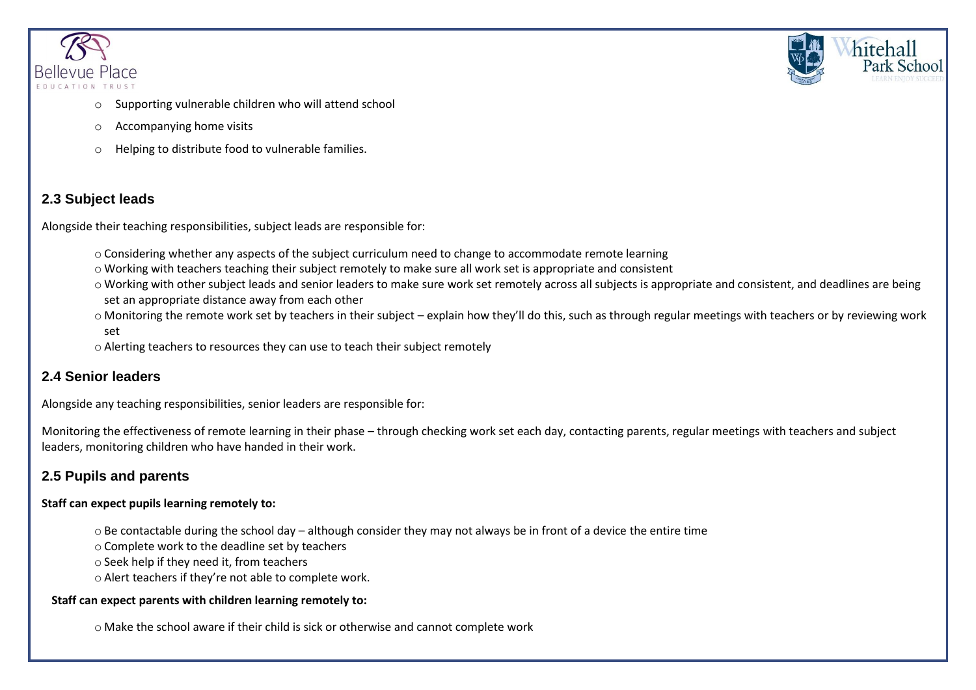



- Supporting vulnerable children who will attend school
- o Accompanying home visits
- o Helping to distribute food to vulnerable families.

# **2.3 Subject leads**

Alongside their teaching responsibilities, subject leads are responsible for:

- $\circ$  Considering whether any aspects of the subject curriculum need to change to accommodate remote learning
- o Working with teachers teaching their subject remotely to make sure all work set is appropriate and consistent
- o Working with other subject leads and senior leaders to make sure work set remotely across all subjects is appropriate and consistent, and deadlines are being set an appropriate distance away from each other
- o Monitoring the remote work set by teachers in their subject explain how they'll do this, such as through regular meetings with teachers or by reviewing work set
- o Alerting teachers to resources they can use to teach their subject remotely

# **2.4 Senior leaders**

Alongside any teaching responsibilities, senior leaders are responsible for:

Monitoring the effectiveness of remote learning in their phase – through checking work set each day, contacting parents, regular meetings with teachers and subject leaders, monitoring children who have handed in their work.

# **2.5 Pupils and parents**

## **Staff can expect pupils learning remotely to:**

- o Be contactable during the school day although consider they may not always be in front of a device the entire time
- o Complete work to the deadline set by teachers
- o Seek help if they need it, from teachers
- o Alert teachers if they're not able to complete work.

## **Staff can expect parents with children learning remotely to:**

o Make the school aware if their child is sick or otherwise and cannot complete work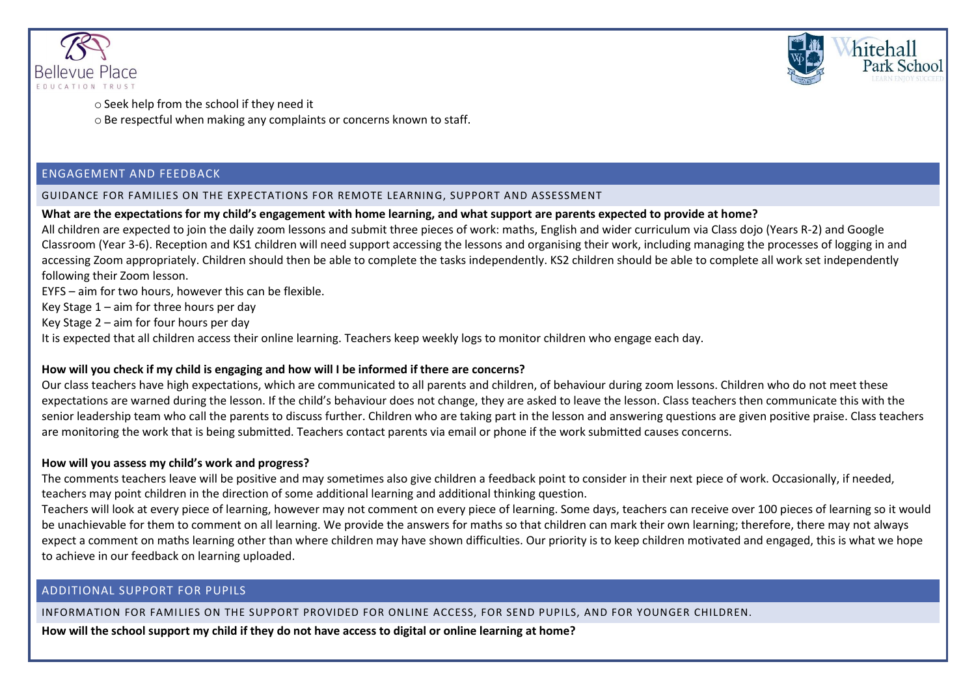



o Seek help from the school if they need it o Be respectful when making any complaints or concerns known to staff.

### ENGAGEMENT AND FEEDBACK

### GUIDANCE FOR FAMILIES ON THE EXPECTATIONS FOR REMOTE LEARNING, SUPPORT AND ASSESSMENT

### **What are the expectations for my child's engagement with home learning, and what support are parents expected to provide at home?**

All children are expected to join the daily zoom lessons and submit three pieces of work: maths, English and wider curriculum via Class dojo (Years R-2) and Google Classroom (Year 3-6). Reception and KS1 children will need support accessing the lessons and organising their work, including managing the processes of logging in and accessing Zoom appropriately. Children should then be able to complete the tasks independently. KS2 children should be able to complete all work set independently following their Zoom lesson.

EYFS – aim for two hours, however this can be flexible.

Key Stage 1 – aim for three hours per day

Key Stage 2 – aim for four hours per day

It is expected that all children access their online learning. Teachers keep weekly logs to monitor children who engage each day.

### **How will you check if my child is engaging and how will I be informed if there are concerns?**

Our class teachers have high expectations, which are communicated to all parents and children, of behaviour during zoom lessons. Children who do not meet these expectations are warned during the lesson. If the child's behaviour does not change, they are asked to leave the lesson. Class teachers then communicate this with the senior leadership team who call the parents to discuss further. Children who are taking part in the lesson and answering questions are given positive praise. Class teachers are monitoring the work that is being submitted. Teachers contact parents via email or phone if the work submitted causes concerns.

### **How will you assess my child's work and progress?**

The comments teachers leave will be positive and may sometimes also give children a feedback point to consider in their next piece of work. Occasionally, if needed, teachers may point children in the direction of some additional learning and additional thinking question.

Teachers will look at every piece of learning, however may not comment on every piece of learning. Some days, teachers can receive over 100 pieces of learning so it would be unachievable for them to comment on all learning. We provide the answers for maths so that children can mark their own learning; therefore, there may not always expect a comment on maths learning other than where children may have shown difficulties. Our priority is to keep children motivated and engaged, this is what we hope to achieve in our feedback on learning uploaded.

### ADDITIONAL SUPPORT FOR PUPILS

INFORMATION FOR FAMILIES ON THE SUPPORT PROVIDED FOR ONLINE ACCESS, FOR SEND PUPILS, AND FOR YOUNGER CHILDREN.

**How will the school support my child if they do not have access to digital or online learning at home?**